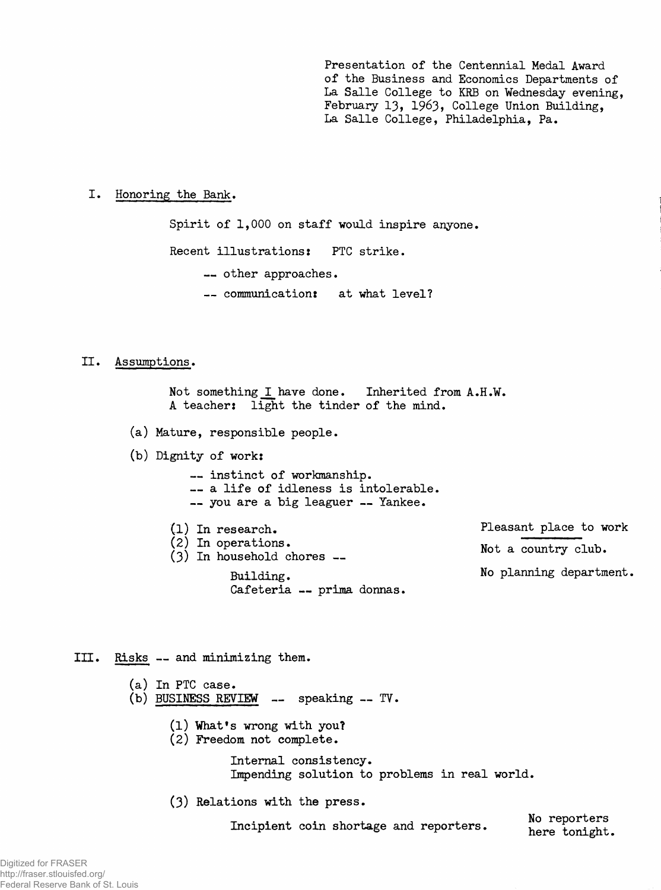**Presentation of the Centennial Medal Award of the Business and Economics Departments of La Salle College to KRB on Wednesday evening, February 13, 1963» College Union Building, La Salle College, Philadelphia, Pa.**

I. Honoring the Bank.

**Spirit of 1,000 on staff would inspire anyone. Recent illustrations: PTC strike. — other approaches. — communication: at what level?**

## **II. Assumptions.**

**Not something I have done. Inherited from A.H.W. A teacher: light the tinder of the mind.**

**(a) Mature, responsible people.**

**(b) Dignity of work:**

**— instinct of workmanship. — a life of idleness is intolerable. — you are a big leaguer — Yankee.**

**(1) In research. (2) In operations. (3) In household chores — Building. Cafeteria — prima donnas. Pleasant place to work Not a country club. No planning department.**

**III. Risks — and minimizing them.**

**(a) In PTC case.** (b) BUSINESS REVIEW -- speaking -- TV.

- **(1) What's wrong with you?**
- **(2) Freedom not complete.**

**Internal consistency. Impending solution to problems in real world.**

**(3) Relations with the press.**

Incipient coin shortage and reporters. No reporters here in the short of the short of the short of the short of the short of the short of the short of the short of the short of the short of the short of the short of the sh